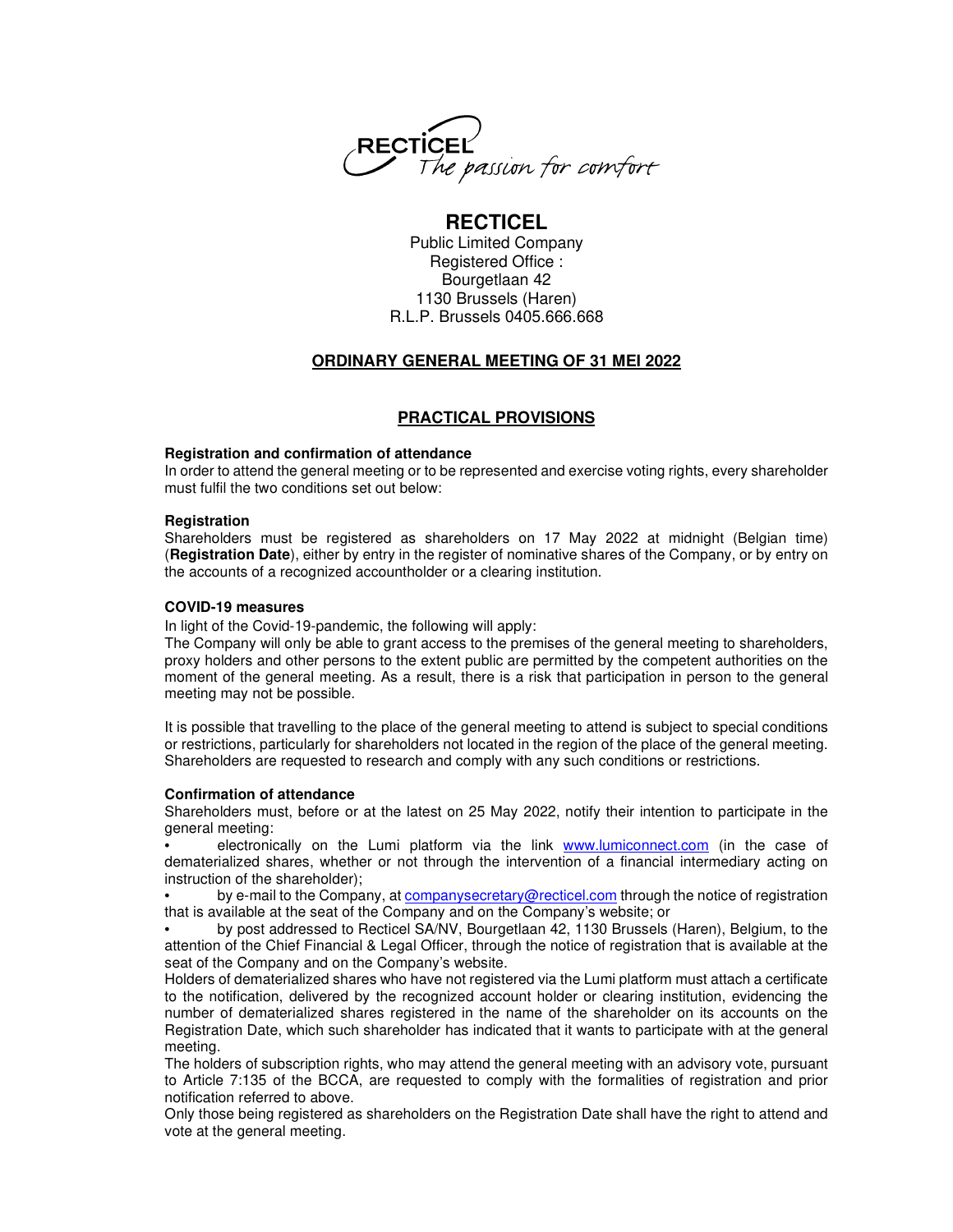

# **RECTICEL**

Public Limited Company Registered Office : Bourgetlaan 42 1130 Brussels (Haren) R.L.P. Brussels 0405.666.668

## **ORDINARY GENERAL MEETING OF 31 MEI 2022**

## **PRACTICAL PROVISIONS**

## **Registration and confirmation of attendance**

In order to attend the general meeting or to be represented and exercise voting rights, every shareholder must fulfil the two conditions set out below:

### **Registration**

Shareholders must be registered as shareholders on 17 May 2022 at midnight (Belgian time) (**Registration Date**), either by entry in the register of nominative shares of the Company, or by entry on the accounts of a recognized accountholder or a clearing institution.

## **COVID-19 measures**

In light of the Covid-19-pandemic, the following will apply:

The Company will only be able to grant access to the premises of the general meeting to shareholders, proxy holders and other persons to the extent public are permitted by the competent authorities on the moment of the general meeting. As a result, there is a risk that participation in person to the general meeting may not be possible.

It is possible that travelling to the place of the general meeting to attend is subject to special conditions or restrictions, particularly for shareholders not located in the region of the place of the general meeting. Shareholders are requested to research and comply with any such conditions or restrictions.

### **Confirmation of attendance**

Shareholders must, before or at the latest on 25 May 2022, notify their intention to participate in the general meeting:

• electronically on the Lumi platform via the link www.lumiconnect.com (in the case of dematerialized shares, whether or not through the intervention of a financial intermediary acting on instruction of the shareholder);

• by e-mail to the Company, at companysecretary@recticel.com through the notice of registration that is available at the seat of the Company and on the Company's website; or

• by post addressed to Recticel SA/NV, Bourgetlaan 42, 1130 Brussels (Haren), Belgium, to the attention of the Chief Financial & Legal Officer, through the notice of registration that is available at the seat of the Company and on the Company's website.

Holders of dematerialized shares who have not registered via the Lumi platform must attach a certificate to the notification, delivered by the recognized account holder or clearing institution, evidencing the number of dematerialized shares registered in the name of the shareholder on its accounts on the Registration Date, which such shareholder has indicated that it wants to participate with at the general meeting.

The holders of subscription rights, who may attend the general meeting with an advisory vote, pursuant to Article 7:135 of the BCCA, are requested to comply with the formalities of registration and prior notification referred to above.

Only those being registered as shareholders on the Registration Date shall have the right to attend and vote at the general meeting.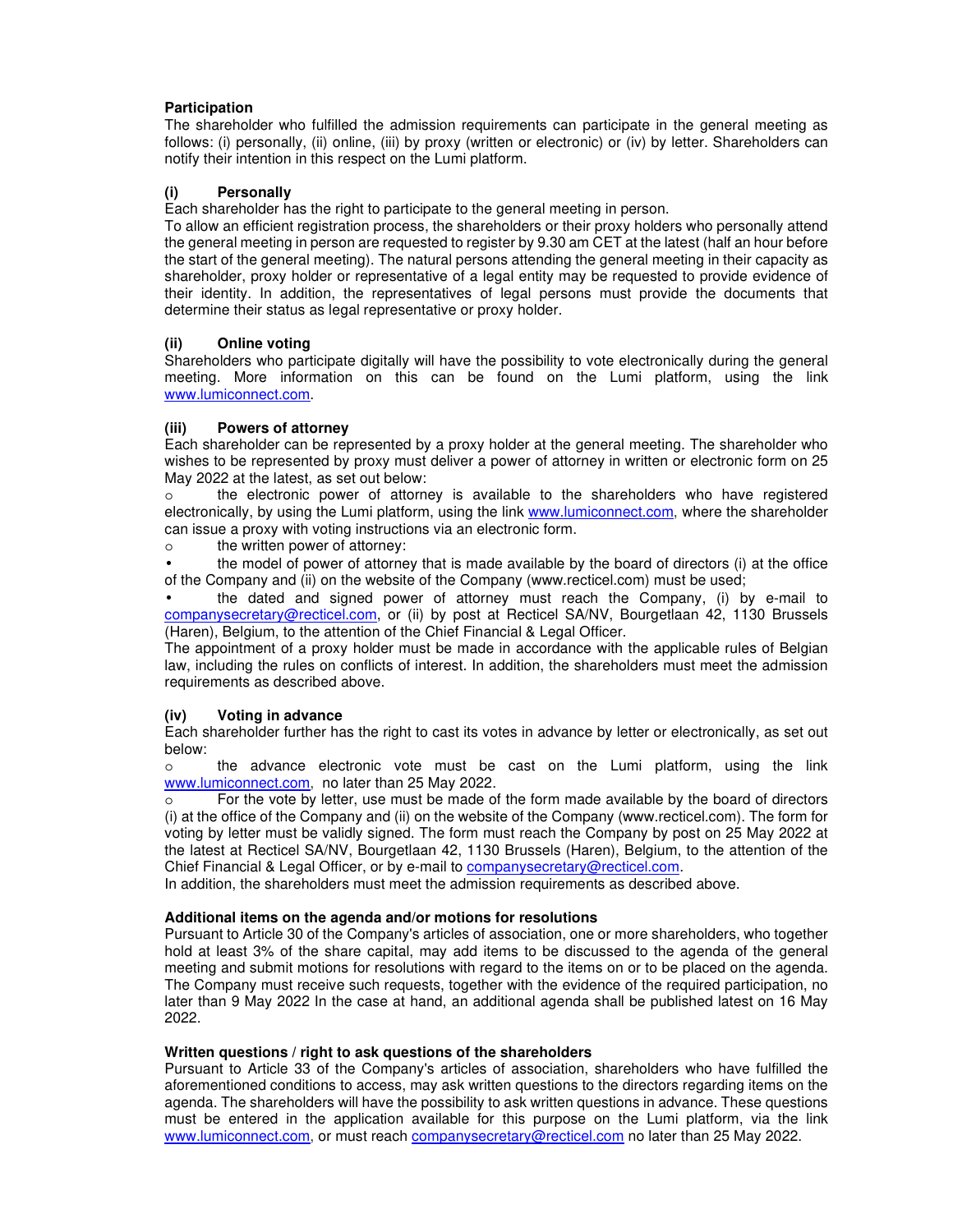## **Participation**

The shareholder who fulfilled the admission requirements can participate in the general meeting as follows: (i) personally, (ii) online, (iii) by proxy (written or electronic) or (iv) by letter. Shareholders can notify their intention in this respect on the Lumi platform.

## **(i) Personally**

Each shareholder has the right to participate to the general meeting in person.

To allow an efficient registration process, the shareholders or their proxy holders who personally attend the general meeting in person are requested to register by 9.30 am CET at the latest (half an hour before the start of the general meeting). The natural persons attending the general meeting in their capacity as shareholder, proxy holder or representative of a legal entity may be requested to provide evidence of their identity. In addition, the representatives of legal persons must provide the documents that determine their status as legal representative or proxy holder.

## **(ii) Online voting**

Shareholders who participate digitally will have the possibility to vote electronically during the general meeting. More information on this can be found on the Lumi platform, using the link www.lumiconnect.com.

### **(iii) Powers of attorney**

Each shareholder can be represented by a proxy holder at the general meeting. The shareholder who wishes to be represented by proxy must deliver a power of attorney in written or electronic form on 25 May 2022 at the latest, as set out below:

o the electronic power of attorney is available to the shareholders who have registered electronically, by using the Lumi platform, using the link www.lumiconnect.com, where the shareholder can issue a proxy with voting instructions via an electronic form.

o the written power of attorney:

• the model of power of attorney that is made available by the board of directors (i) at the office of the Company and (ii) on the website of the Company (www.recticel.com) must be used;

• the dated and signed power of attorney must reach the Company, (i) by e-mail to companysecretary@recticel.com, or (ii) by post at Recticel SA/NV, Bourgetlaan 42, 1130 Brussels (Haren), Belgium, to the attention of the Chief Financial & Legal Officer.

The appointment of a proxy holder must be made in accordance with the applicable rules of Belgian law, including the rules on conflicts of interest. In addition, the shareholders must meet the admission requirements as described above.

### **(iv) Voting in advance**

Each shareholder further has the right to cast its votes in advance by letter or electronically, as set out below:

o the advance electronic vote must be cast on the Lumi platform, using the link www.lumiconnect.com, no later than 25 May 2022.

o For the vote by letter, use must be made of the form made available by the board of directors (i) at the office of the Company and (ii) on the website of the Company (www.recticel.com). The form for voting by letter must be validly signed. The form must reach the Company by post on 25 May 2022 at the latest at Recticel SA/NV, Bourgetlaan 42, 1130 Brussels (Haren), Belgium, to the attention of the Chief Financial & Legal Officer, or by e-mail to companysecretary@recticel.com.

In addition, the shareholders must meet the admission requirements as described above.

### **Additional items on the agenda and/or motions for resolutions**

Pursuant to Article 30 of the Company's articles of association, one or more shareholders, who together hold at least 3% of the share capital, may add items to be discussed to the agenda of the general meeting and submit motions for resolutions with regard to the items on or to be placed on the agenda. The Company must receive such requests, together with the evidence of the required participation, no later than 9 May 2022 In the case at hand, an additional agenda shall be published latest on 16 May 2022.

### **Written questions / right to ask questions of the shareholders**

Pursuant to Article 33 of the Company's articles of association, shareholders who have fulfilled the aforementioned conditions to access, may ask written questions to the directors regarding items on the agenda. The shareholders will have the possibility to ask written questions in advance. These questions must be entered in the application available for this purpose on the Lumi platform, via the link www.lumiconnect.com, or must reach companysecretary@recticel.com no later than 25 May 2022.